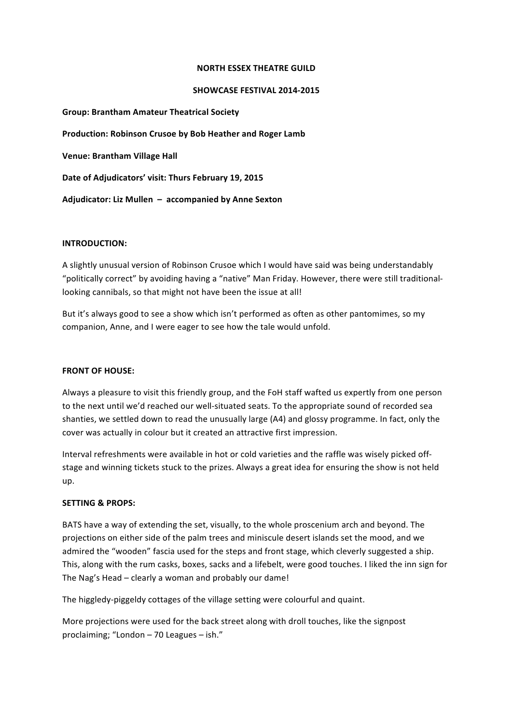#### **NORTH ESSEX THEATRE GUILD**

### SHOWCASE FESTIVAL 2014-2015

**Group: Brantham Amateur Theatrical Society** Production: Robinson Crusoe by Bob Heather and Roger Lamb **Venue: Brantham Village Hall** Date of Adjudicators' visit: Thurs February 19, 2015 Adjudicator: Liz Mullen – accompanied by Anne Sexton

#### **INTRODUCTION:**

A slightly unusual version of Robinson Crusoe which I would have said was being understandably "politically correct" by avoiding having a "native" Man Friday. However, there were still traditionallooking cannibals, so that might not have been the issue at all!

But it's always good to see a show which isn't performed as often as other pantomimes, so my companion, Anne, and I were eager to see how the tale would unfold.

# **FRONT OF HOUSE:**

Always a pleasure to visit this friendly group, and the FoH staff wafted us expertly from one person to the next until we'd reached our well-situated seats. To the appropriate sound of recorded sea shanties, we settled down to read the unusually large (A4) and glossy programme. In fact, only the cover was actually in colour but it created an attractive first impression.

Interval refreshments were available in hot or cold varieties and the raffle was wisely picked offstage and winning tickets stuck to the prizes. Always a great idea for ensuring the show is not held up.

# **SETTING & PROPS:**

BATS have a way of extending the set, visually, to the whole proscenium arch and beyond. The projections on either side of the palm trees and miniscule desert islands set the mood, and we admired the "wooden" fascia used for the steps and front stage, which cleverly suggested a ship. This, along with the rum casks, boxes, sacks and a lifebelt, were good touches. I liked the inn sign for The Nag's Head - clearly a woman and probably our dame!

The higgledy-piggeldy cottages of the village setting were colourful and quaint.

More projections were used for the back street along with droll touches, like the signpost proclaiming; "London  $-$  70 Leagues  $-$  ish."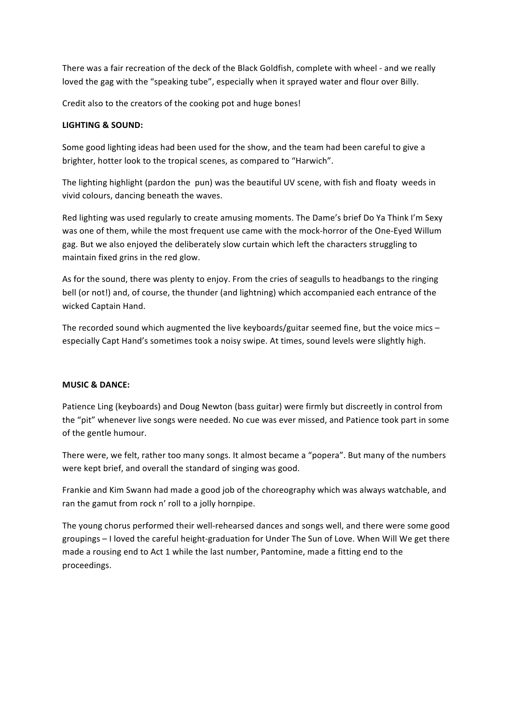There was a fair recreation of the deck of the Black Goldfish, complete with wheel - and we really loved the gag with the "speaking tube", especially when it sprayed water and flour over Billy.

Credit also to the creators of the cooking pot and huge bones!

# **LIGHTING & SOUND:**

Some good lighting ideas had been used for the show, and the team had been careful to give a brighter, hotter look to the tropical scenes, as compared to "Harwich".

The lighting highlight (pardon the pun) was the beautiful UV scene, with fish and floaty weeds in vivid colours, dancing beneath the waves.

Red lighting was used regularly to create amusing moments. The Dame's brief Do Ya Think I'm Sexy was one of them, while the most frequent use came with the mock-horror of the One-Eyed Willum gag. But we also enjoyed the deliberately slow curtain which left the characters struggling to maintain fixed grins in the red glow.

As for the sound, there was plenty to enjoy. From the cries of seagulls to headbangs to the ringing bell (or not!) and, of course, the thunder (and lightning) which accompanied each entrance of the wicked Captain Hand.

The recorded sound which augmented the live keyboards/guitar seemed fine, but the voice mics – especially Capt Hand's sometimes took a noisy swipe. At times, sound levels were slightly high.

# **MUSIC & DANCE:**

Patience Ling (keyboards) and Doug Newton (bass guitar) were firmly but discreetly in control from the "pit" whenever live songs were needed. No cue was ever missed, and Patience took part in some of the gentle humour.

There were, we felt, rather too many songs. It almost became a "popera". But many of the numbers were kept brief, and overall the standard of singing was good.

Frankie and Kim Swann had made a good job of the choreography which was always watchable, and ran the gamut from rock n' roll to a jolly hornpipe.

The young chorus performed their well-rehearsed dances and songs well, and there were some good groupings - I loved the careful height-graduation for Under The Sun of Love. When Will We get there made a rousing end to Act 1 while the last number, Pantomine, made a fitting end to the proceedings.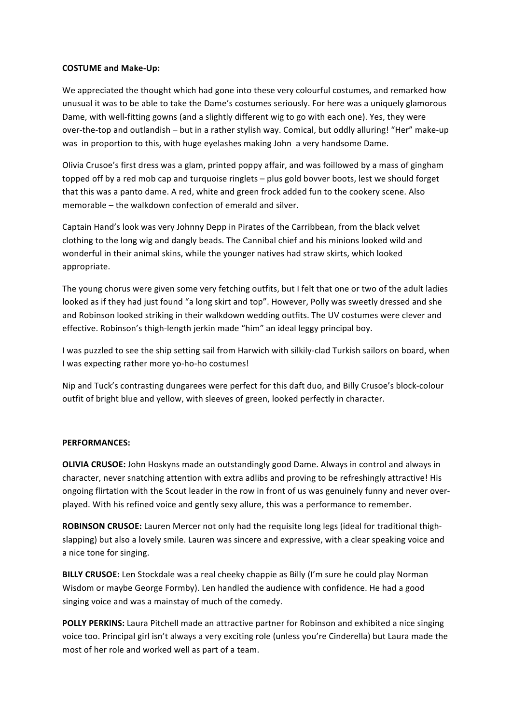### **COSTUME and Make-Up:**

We appreciated the thought which had gone into these very colourful costumes, and remarked how unusual it was to be able to take the Dame's costumes seriously. For here was a uniquely glamorous Dame, with well-fitting gowns (and a slightly different wig to go with each one). Yes, they were over-the-top and outlandish – but in a rather stylish way. Comical, but oddly alluring! "Her" make-up was in proportion to this, with huge eyelashes making John a very handsome Dame.

Olivia Crusoe's first dress was a glam, printed poppy affair, and was foillowed by a mass of gingham topped off by a red mob cap and turquoise ringlets - plus gold bovver boots, lest we should forget that this was a panto dame. A red, white and green frock added fun to the cookery scene. Also memorable – the walkdown confection of emerald and silver.

Captain Hand's look was very Johnny Depp in Pirates of the Carribbean, from the black velvet clothing to the long wig and dangly beads. The Cannibal chief and his minions looked wild and wonderful in their animal skins, while the younger natives had straw skirts, which looked appropriate.

The young chorus were given some very fetching outfits, but I felt that one or two of the adult ladies looked as if they had just found "a long skirt and top". However, Polly was sweetly dressed and she and Robinson looked striking in their walkdown wedding outfits. The UV costumes were clever and effective. Robinson's thigh-length jerkin made "him" an ideal leggy principal boy.

I was puzzled to see the ship setting sail from Harwich with silkily-clad Turkish sailors on board, when I was expecting rather more yo-ho-ho costumes!

Nip and Tuck's contrasting dungarees were perfect for this daft duo, and Billy Crusoe's block-colour outfit of bright blue and yellow, with sleeves of green, looked perfectly in character.

#### **PERFORMANCES:**

**OLIVIA CRUSOE:** John Hoskyns made an outstandingly good Dame. Always in control and always in character, never snatching attention with extra adlibs and proving to be refreshingly attractive! His ongoing flirtation with the Scout leader in the row in front of us was genuinely funny and never overplayed. With his refined voice and gently sexy allure, this was a performance to remember.

**ROBINSON CRUSOE:** Lauren Mercer not only had the requisite long legs (ideal for traditional thighslapping) but also a lovely smile. Lauren was sincere and expressive, with a clear speaking voice and a nice tone for singing.

**BILLY CRUSOE:** Len Stockdale was a real cheeky chappie as Billy (I'm sure he could play Norman Wisdom or maybe George Formby). Len handled the audience with confidence. He had a good singing voice and was a mainstay of much of the comedy.

**POLLY PERKINS:** Laura Pitchell made an attractive partner for Robinson and exhibited a nice singing voice too. Principal girl isn't always a very exciting role (unless you're Cinderella) but Laura made the most of her role and worked well as part of a team.